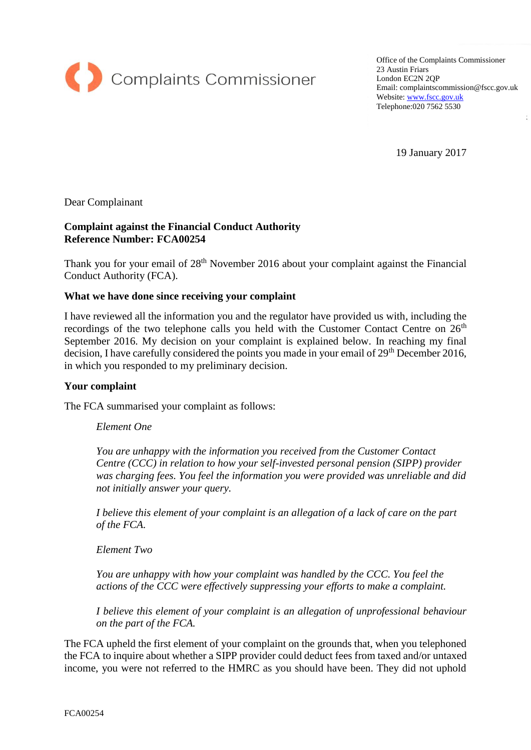

Office of the Complaints Commissioner 23 Austin Friars London EC2N 2QP Email: complaintscommission@fscc.gov.uk Website[: www.fscc.gov.uk](http://www.fscc.gov.uk/) Telephone:020 7562 5530

19 January 2017

Dear Complainant

### **Complaint against the Financial Conduct Authority Reference Number: FCA00254**

Thank you for your email of 28<sup>th</sup> November 2016 about your complaint against the Financial Conduct Authority (FCA).

#### **What we have done since receiving your complaint**

I have reviewed all the information you and the regulator have provided us with, including the recordings of the two telephone calls you held with the Customer Contact Centre on  $26<sup>th</sup>$ September 2016. My decision on your complaint is explained below. In reaching my final decision, I have carefully considered the points you made in your email of 29<sup>th</sup> December 2016, in which you responded to my preliminary decision.

#### **Your complaint**

The FCA summarised your complaint as follows:

*Element One* 

*You are unhappy with the information you received from the Customer Contact Centre (CCC) in relation to how your self-invested personal pension (SIPP) provider was charging fees. You feel the information you were provided was unreliable and did not initially answer your query.* 

*I believe this element of your complaint is an allegation of a lack of care on the part of the FCA.* 

*Element Two*

*You are unhappy with how your complaint was handled by the CCC. You feel the actions of the CCC were effectively suppressing your efforts to make a complaint.* 

*I believe this element of your complaint is an allegation of unprofessional behaviour on the part of the FCA.*

The FCA upheld the first element of your complaint on the grounds that, when you telephoned the FCA to inquire about whether a SIPP provider could deduct fees from taxed and/or untaxed income, you were not referred to the HMRC as you should have been. They did not uphold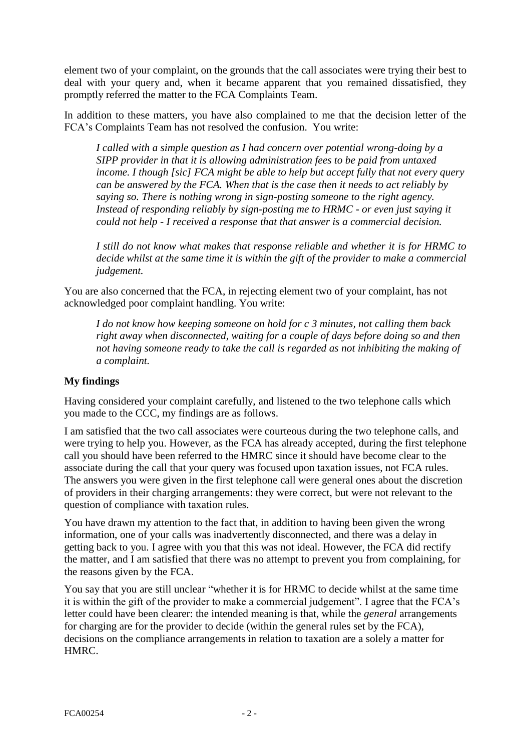element two of your complaint, on the grounds that the call associates were trying their best to deal with your query and, when it became apparent that you remained dissatisfied, they promptly referred the matter to the FCA Complaints Team.

In addition to these matters, you have also complained to me that the decision letter of the FCA's Complaints Team has not resolved the confusion. You write:

*I called with a simple question as I had concern over potential wrong-doing by a SIPP provider in that it is allowing administration fees to be paid from untaxed income. I though [sic] FCA might be able to help but accept fully that not every query can be answered by the FCA. When that is the case then it needs to act reliably by saying so. There is nothing wrong in sign-posting someone to the right agency. Instead of responding reliably by sign-posting me to HRMC - or even just saying it could not help - I received a response that that answer is a commercial decision.*

*I still do not know what makes that response reliable and whether it is for HRMC to decide whilst at the same time it is within the gift of the provider to make a commercial judgement.*

You are also concerned that the FCA, in rejecting element two of your complaint, has not acknowledged poor complaint handling. You write:

*I do not know how keeping someone on hold for c 3 minutes, not calling them back right away when disconnected, waiting for a couple of days before doing so and then not having someone ready to take the call is regarded as not inhibiting the making of a complaint.*

# **My findings**

Having considered your complaint carefully, and listened to the two telephone calls which you made to the CCC, my findings are as follows.

I am satisfied that the two call associates were courteous during the two telephone calls, and were trying to help you. However, as the FCA has already accepted, during the first telephone call you should have been referred to the HMRC since it should have become clear to the associate during the call that your query was focused upon taxation issues, not FCA rules. The answers you were given in the first telephone call were general ones about the discretion of providers in their charging arrangements: they were correct, but were not relevant to the question of compliance with taxation rules.

You have drawn my attention to the fact that, in addition to having been given the wrong information, one of your calls was inadvertently disconnected, and there was a delay in getting back to you. I agree with you that this was not ideal. However, the FCA did rectify the matter, and I am satisfied that there was no attempt to prevent you from complaining, for the reasons given by the FCA.

You say that you are still unclear "whether it is for HRMC to decide whilst at the same time it is within the gift of the provider to make a commercial judgement". I agree that the FCA's letter could have been clearer: the intended meaning is that, while the *general* arrangements for charging are for the provider to decide (within the general rules set by the FCA), decisions on the compliance arrangements in relation to taxation are a solely a matter for HMRC.